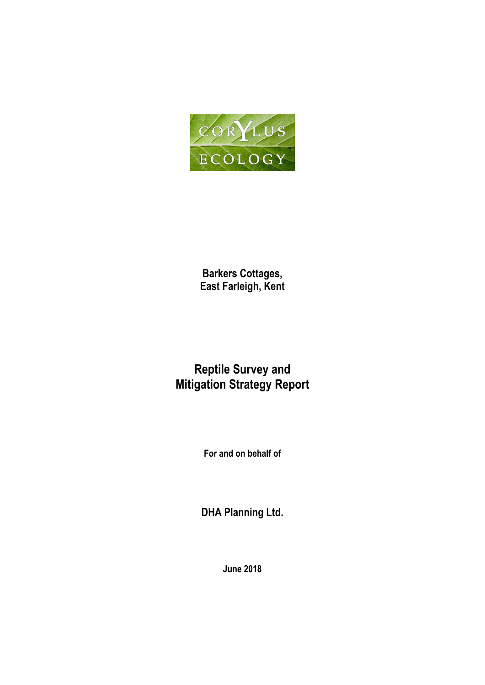

**Barkers Cottages, East Farleigh, Kent**

# **Reptile Survey and Mitigation Strategy Report**

**For and on behalf of**

**DHA Planning Ltd.**

**June 2018**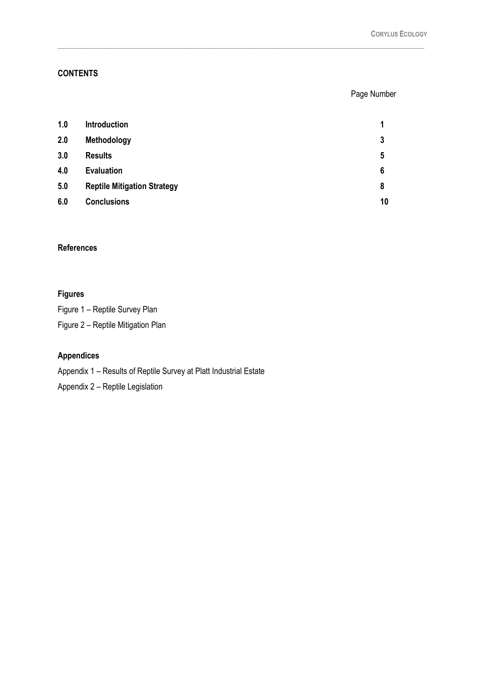## **CONTENTS**

## Page Number

| 1.0 | <b>Introduction</b>                | 1  |
|-----|------------------------------------|----|
| 2.0 | Methodology                        | 3  |
| 3.0 | <b>Results</b>                     | 5  |
| 4.0 | <b>Evaluation</b>                  | 6  |
| 5.0 | <b>Reptile Mitigation Strategy</b> | 8  |
| 6.0 | <b>Conclusions</b>                 | 10 |

\_\_\_\_\_\_\_\_\_\_\_\_\_\_\_\_\_\_\_\_\_\_\_\_\_\_\_\_\_\_\_\_\_\_\_\_\_\_\_\_\_\_\_\_\_\_\_\_\_\_\_\_\_\_\_\_\_\_\_\_\_\_\_\_\_\_\_\_\_\_\_\_\_\_\_

# **References**

# **Figures**

Figure 1 – Reptile Survey Plan

Figure 2 – Reptile Mitigation Plan

# **Appendices**

Appendix 1 – Results of Reptile Survey at Platt Industrial Estate

Appendix 2 – Reptile Legislation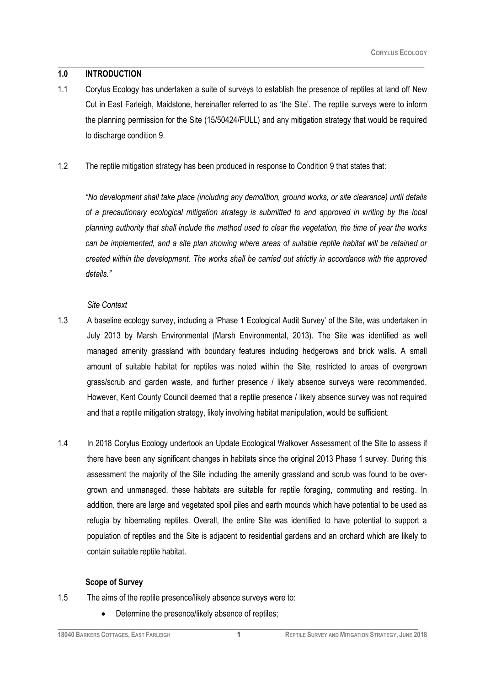#### **1.0 INTRODUCTION**

1.1 Corylus Ecology has undertaken a suite of surveys to establish the presence of reptiles at land off New Cut in East Farleigh, Maidstone, hereinafter referred to as 'the Site'. The reptile surveys were to inform the planning permission for the Site (15/50424/FULL) and any mitigation strategy that would be required to discharge condition 9.

\_\_\_\_\_\_\_\_\_\_\_\_\_\_\_\_\_\_\_\_\_\_\_\_\_\_\_\_\_\_\_\_\_\_\_\_\_\_\_\_\_\_\_\_\_\_\_\_\_\_\_\_\_\_\_\_\_\_\_\_\_\_\_\_\_\_\_\_\_\_\_\_\_\_\_

#### 1.2 The reptile mitigation strategy has been produced in response to Condition 9 that states that:

*"No development shall take place (including any demolition, ground works, or site clearance) until details of a precautionary ecological mitigation strategy is submitted to and approved in writing by the local planning authority that shall include the method used to clear the vegetation, the time of year the works can be implemented, and a site plan showing where areas of suitable reptile habitat will be retained or created within the development. The works shall be carried out strictly in accordance with the approved details."*

#### *Site Context*

- 1.3 A baseline ecology survey, including a 'Phase 1 Ecological Audit Survey' of the Site, was undertaken in July 2013 by Marsh Environmental (Marsh Environmental, 2013). The Site was identified as well managed amenity grassland with boundary features including hedgerows and brick walls. A small amount of suitable habitat for reptiles was noted within the Site, restricted to areas of overgrown grass/scrub and garden waste, and further presence / likely absence surveys were recommended. However, Kent County Council deemed that a reptile presence / likely absence survey was not required and that a reptile mitigation strategy, likely involving habitat manipulation, would be sufficient.
- 1.4 In 2018 Corylus Ecology undertook an Update Ecological Walkover Assessment of the Site to assess if there have been any significant changes in habitats since the original 2013 Phase 1 survey. During this assessment the majority of the Site including the amenity grassland and scrub was found to be overgrown and unmanaged, these habitats are suitable for reptile foraging, commuting and resting. In addition, there are large and vegetated spoil piles and earth mounds which have potential to be used as refugia by hibernating reptiles. Overall, the entire Site was identified to have potential to support a population of reptiles and the Site is adjacent to residential gardens and an orchard which are likely to contain suitable reptile habitat.

#### **Scope of Survey**

- 1.5 The aims of the reptile presence/likely absence surveys were to:
	- Determine the presence/likely absence of reptiles;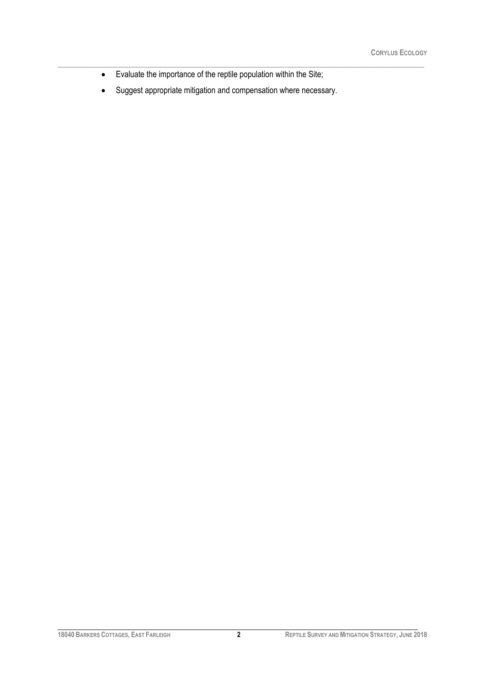- Evaluate the importance of the reptile population within the Site;
- Suggest appropriate mitigation and compensation where necessary.

\_\_\_\_\_\_\_\_\_\_\_\_\_\_\_\_\_\_\_\_\_\_\_\_\_\_\_\_\_\_\_\_\_\_\_\_\_\_\_\_\_\_\_\_\_\_\_\_\_\_\_\_\_\_\_\_\_\_\_\_\_\_\_\_\_\_\_\_\_\_\_\_\_\_\_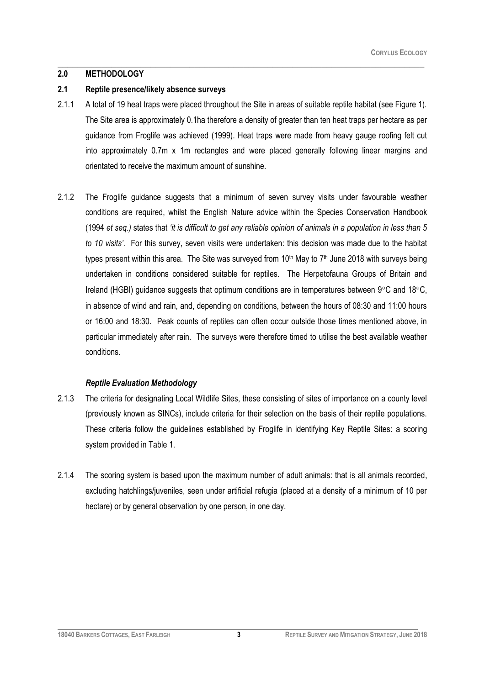## **2.0 METHODOLOGY**

### **2.1 Reptile presence/likely absence surveys**

2.1.1 A total of 19 heat traps were placed throughout the Site in areas of suitable reptile habitat (see Figure 1). The Site area is approximately 0.1ha therefore a density of greater than ten heat traps per hectare as per guidance from Froglife was achieved (1999). Heat traps were made from heavy gauge roofing felt cut into approximately 0.7m x 1m rectangles and were placed generally following linear margins and orientated to receive the maximum amount of sunshine.

\_\_\_\_\_\_\_\_\_\_\_\_\_\_\_\_\_\_\_\_\_\_\_\_\_\_\_\_\_\_\_\_\_\_\_\_\_\_\_\_\_\_\_\_\_\_\_\_\_\_\_\_\_\_\_\_\_\_\_\_\_\_\_\_\_\_\_\_\_\_\_\_\_\_\_

2.1.2 The Froglife guidance suggests that a minimum of seven survey visits under favourable weather conditions are required, whilst the English Nature advice within the Species Conservation Handbook (1994 *et seq.)* states that *'it is difficult to get any reliable opinion of animals in a population in less than 5 to 10 visits'*. For this survey, seven visits were undertaken: this decision was made due to the habitat types present within this area. The Site was surveyed from 10<sup>th</sup> May to 7<sup>th</sup> June 2018 with surveys being undertaken in conditions considered suitable for reptiles. The Herpetofauna Groups of Britain and Ireland (HGBI) guidance suggests that optimum conditions are in temperatures between  $9^{\circ}$ C and  $18^{\circ}$ C, in absence of wind and rain, and, depending on conditions, between the hours of 08:30 and 11:00 hours or 16:00 and 18:30. Peak counts of reptiles can often occur outside those times mentioned above, in particular immediately after rain. The surveys were therefore timed to utilise the best available weather conditions.

# *Reptile Evaluation Methodology*

- 2.1.3 The criteria for designating Local Wildlife Sites, these consisting of sites of importance on a county level (previously known as SINCs), include criteria for their selection on the basis of their reptile populations. These criteria follow the guidelines established by Froglife in identifying Key Reptile Sites: a scoring system provided in Table 1.
- 2.1.4 The scoring system is based upon the maximum number of adult animals: that is all animals recorded, excluding hatchlings/juveniles, seen under artificial refugia (placed at a density of a minimum of 10 per hectare) or by general observation by one person, in one day.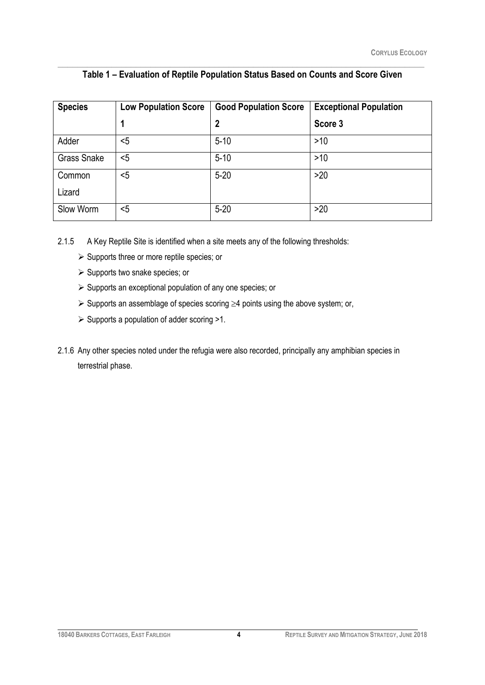| <b>Species</b>     | <b>Low Population Score</b> | <b>Good Population Score</b> | <b>Exceptional Population</b> |  |  |
|--------------------|-----------------------------|------------------------------|-------------------------------|--|--|
|                    |                             | 2                            | Score 3                       |  |  |
| Adder              | $5$                         | $5 - 10$                     | $>10$                         |  |  |
| <b>Grass Snake</b> | $5$                         | $5 - 10$                     | >10                           |  |  |
| Common             | $5$                         | $5 - 20$                     | >20                           |  |  |
| Lizard             |                             |                              |                               |  |  |
| Slow Worm          | $5$                         | $5 - 20$                     | >20                           |  |  |

## \_\_\_\_\_\_\_\_\_\_\_\_\_\_\_\_\_\_\_\_\_\_\_\_\_\_\_\_\_\_\_\_\_\_\_\_\_\_\_\_\_\_\_\_\_\_\_\_\_\_\_\_\_\_\_\_\_\_\_\_\_\_\_\_\_\_\_\_\_\_\_\_\_\_\_ **Table 1 – Evaluation of Reptile Population Status Based on Counts and Score Given**

2.1.5 A Key Reptile Site is identified when a site meets any of the following thresholds:

- $\triangleright$  Supports three or more reptile species; or
- $\triangleright$  Supports two snake species; or
- $\triangleright$  Supports an exceptional population of any one species; or
- $\triangleright$  Supports an assemblage of species scoring  $\geq$ 4 points using the above system; or,
- $\triangleright$  Supports a population of adder scoring >1.
- 2.1.6 Any other species noted under the refugia were also recorded, principally any amphibian species in terrestrial phase.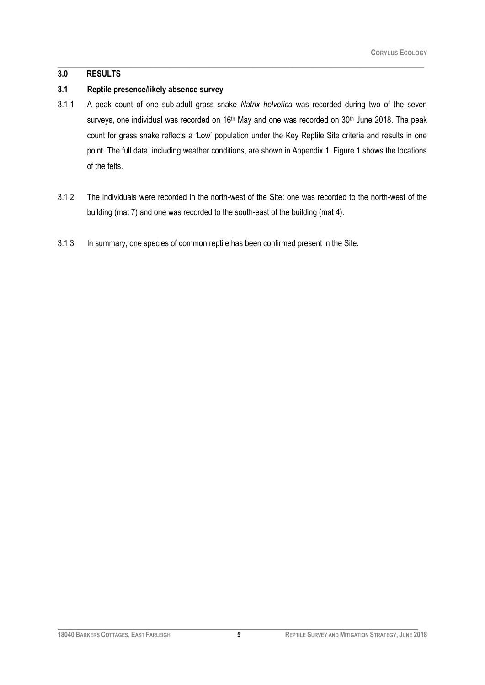# **3.0 RESULTS**

# **3.1 Reptile presence/likely absence survey**

3.1.1 A peak count of one sub-adult grass snake *Natrix helvetica* was recorded during two of the seven surveys, one individual was recorded on 16<sup>th</sup> May and one was recorded on 30<sup>th</sup> June 2018. The peak count for grass snake reflects a 'Low' population under the Key Reptile Site criteria and results in one point. The full data, including weather conditions, are shown in Appendix 1. Figure 1 shows the locations of the felts.

\_\_\_\_\_\_\_\_\_\_\_\_\_\_\_\_\_\_\_\_\_\_\_\_\_\_\_\_\_\_\_\_\_\_\_\_\_\_\_\_\_\_\_\_\_\_\_\_\_\_\_\_\_\_\_\_\_\_\_\_\_\_\_\_\_\_\_\_\_\_\_\_\_\_\_

- 3.1.2 The individuals were recorded in the north-west of the Site: one was recorded to the north-west of the building (mat 7) and one was recorded to the south-east of the building (mat 4).
- 3.1.3 In summary, one species of common reptile has been confirmed present in the Site.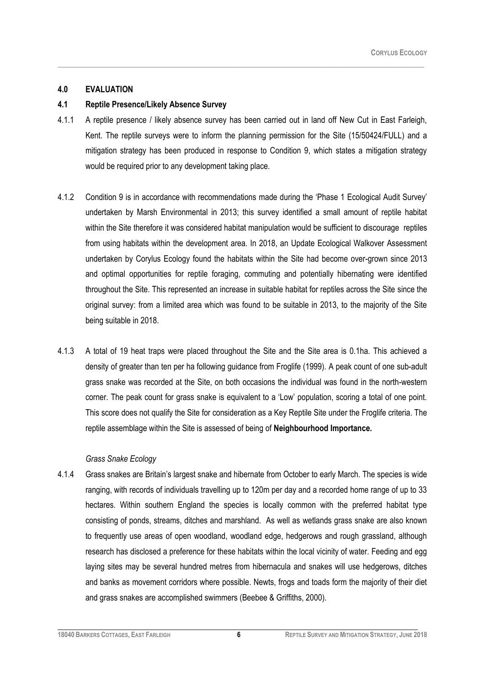## **4.0 EVALUATION**

## **4.1 Reptile Presence/Likely Absence Survey**

4.1.1 A reptile presence / likely absence survey has been carried out in land off New Cut in East Farleigh, Kent. The reptile surveys were to inform the planning permission for the Site (15/50424/FULL) and a mitigation strategy has been produced in response to Condition 9, which states a mitigation strategy would be required prior to any development taking place.

\_\_\_\_\_\_\_\_\_\_\_\_\_\_\_\_\_\_\_\_\_\_\_\_\_\_\_\_\_\_\_\_\_\_\_\_\_\_\_\_\_\_\_\_\_\_\_\_\_\_\_\_\_\_\_\_\_\_\_\_\_\_\_\_\_\_\_\_\_\_\_\_\_\_\_

- 4.1.2 Condition 9 is in accordance with recommendations made during the 'Phase 1 Ecological Audit Survey' undertaken by Marsh Environmental in 2013; this survey identified a small amount of reptile habitat within the Site therefore it was considered habitat manipulation would be sufficient to discourage reptiles from using habitats within the development area. In 2018, an Update Ecological Walkover Assessment undertaken by Corylus Ecology found the habitats within the Site had become over-grown since 2013 and optimal opportunities for reptile foraging, commuting and potentially hibernating were identified throughout the Site. This represented an increase in suitable habitat for reptiles across the Site since the original survey: from a limited area which was found to be suitable in 2013, to the majority of the Site being suitable in 2018.
- 4.1.3 A total of 19 heat traps were placed throughout the Site and the Site area is 0.1ha. This achieved a density of greater than ten per ha following guidance from Froglife (1999). A peak count of one sub-adult grass snake was recorded at the Site, on both occasions the individual was found in the north-western corner. The peak count for grass snake is equivalent to a 'Low' population, scoring a total of one point. This score does not qualify the Site for consideration as a Key Reptile Site under the Froglife criteria. The reptile assemblage within the Site is assessed of being of **Neighbourhood Importance.**

#### *Grass Snake Ecology*

4.1.4 Grass snakes are Britain's largest snake and hibernate from October to early March. The species is wide ranging, with records of individuals travelling up to 120m per day and a recorded home range of up to 33 hectares. Within southern England the species is locally common with the preferred habitat type consisting of ponds, streams, ditches and marshland. As well as wetlands grass snake are also known to frequently use areas of open woodland, woodland edge, hedgerows and rough grassland, although research has disclosed a preference for these habitats within the local vicinity of water. Feeding and egg laying sites may be several hundred metres from hibernacula and snakes will use hedgerows, ditches and banks as movement corridors where possible. Newts, frogs and toads form the majority of their diet and grass snakes are accomplished swimmers (Beebee & Griffiths, 2000).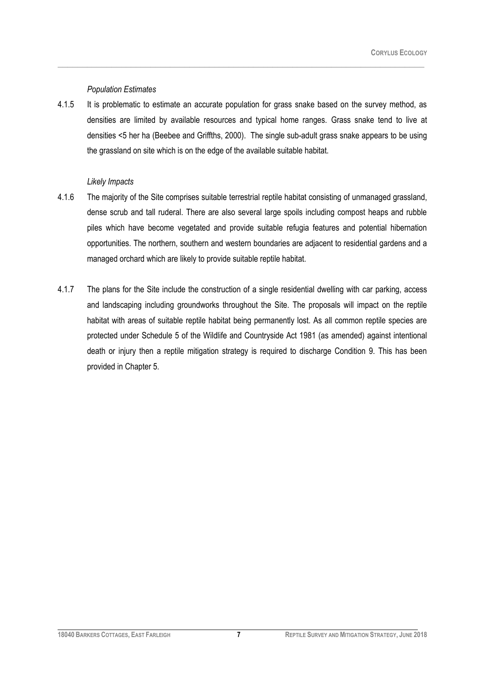#### *Population Estimates*

4.1.5 It is problematic to estimate an accurate population for grass snake based on the survey method, as densities are limited by available resources and typical home ranges. Grass snake tend to live at densities <5 her ha (Beebee and Griffths, 2000). The single sub-adult grass snake appears to be using the grassland on site which is on the edge of the available suitable habitat.

\_\_\_\_\_\_\_\_\_\_\_\_\_\_\_\_\_\_\_\_\_\_\_\_\_\_\_\_\_\_\_\_\_\_\_\_\_\_\_\_\_\_\_\_\_\_\_\_\_\_\_\_\_\_\_\_\_\_\_\_\_\_\_\_\_\_\_\_\_\_\_\_\_\_\_

#### *Likely Impacts*

- 4.1.6 The majority of the Site comprises suitable terrestrial reptile habitat consisting of unmanaged grassland, dense scrub and tall ruderal. There are also several large spoils including compost heaps and rubble piles which have become vegetated and provide suitable refugia features and potential hibernation opportunities. The northern, southern and western boundaries are adjacent to residential gardens and a managed orchard which are likely to provide suitable reptile habitat.
- 4.1.7 The plans for the Site include the construction of a single residential dwelling with car parking, access and landscaping including groundworks throughout the Site. The proposals will impact on the reptile habitat with areas of suitable reptile habitat being permanently lost. As all common reptile species are protected under Schedule 5 of the Wildlife and Countryside Act 1981 (as amended) against intentional death or injury then a reptile mitigation strategy is required to discharge Condition 9. This has been provided in Chapter 5.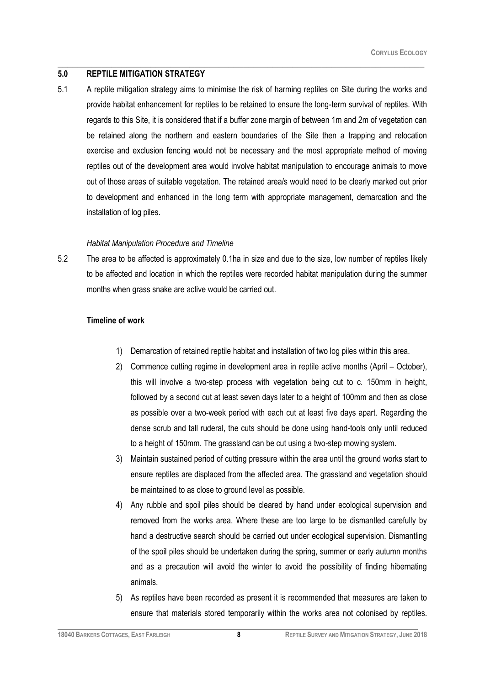#### **5.0 REPTILE MITIGATION STRATEGY**

5.1 A reptile mitigation strategy aims to minimise the risk of harming reptiles on Site during the works and provide habitat enhancement for reptiles to be retained to ensure the long-term survival of reptiles. With regards to this Site, it is considered that if a buffer zone margin of between 1m and 2m of vegetation can be retained along the northern and eastern boundaries of the Site then a trapping and relocation exercise and exclusion fencing would not be necessary and the most appropriate method of moving reptiles out of the development area would involve habitat manipulation to encourage animals to move out of those areas of suitable vegetation. The retained area/s would need to be clearly marked out prior to development and enhanced in the long term with appropriate management, demarcation and the installation of log piles.

\_\_\_\_\_\_\_\_\_\_\_\_\_\_\_\_\_\_\_\_\_\_\_\_\_\_\_\_\_\_\_\_\_\_\_\_\_\_\_\_\_\_\_\_\_\_\_\_\_\_\_\_\_\_\_\_\_\_\_\_\_\_\_\_\_\_\_\_\_\_\_\_\_\_\_

#### *Habitat Manipulation Procedure and Timeline*

5.2 The area to be affected is approximately 0.1ha in size and due to the size, low number of reptiles likely to be affected and location in which the reptiles were recorded habitat manipulation during the summer months when grass snake are active would be carried out.

#### **Timeline of work**

- 1) Demarcation of retained reptile habitat and installation of two log piles within this area.
- 2) Commence cutting regime in development area in reptile active months (April October), this will involve a two-step process with vegetation being cut to c. 150mm in height, followed by a second cut at least seven days later to a height of 100mm and then as close as possible over a two-week period with each cut at least five days apart. Regarding the dense scrub and tall ruderal, the cuts should be done using hand-tools only until reduced to a height of 150mm. The grassland can be cut using a two-step mowing system.
- 3) Maintain sustained period of cutting pressure within the area until the ground works start to ensure reptiles are displaced from the affected area. The grassland and vegetation should be maintained to as close to ground level as possible.
- 4) Any rubble and spoil piles should be cleared by hand under ecological supervision and removed from the works area. Where these are too large to be dismantled carefully by hand a destructive search should be carried out under ecological supervision. Dismantling of the spoil piles should be undertaken during the spring, summer or early autumn months and as a precaution will avoid the winter to avoid the possibility of finding hibernating animals.
- 5) As reptiles have been recorded as present it is recommended that measures are taken to ensure that materials stored temporarily within the works area not colonised by reptiles.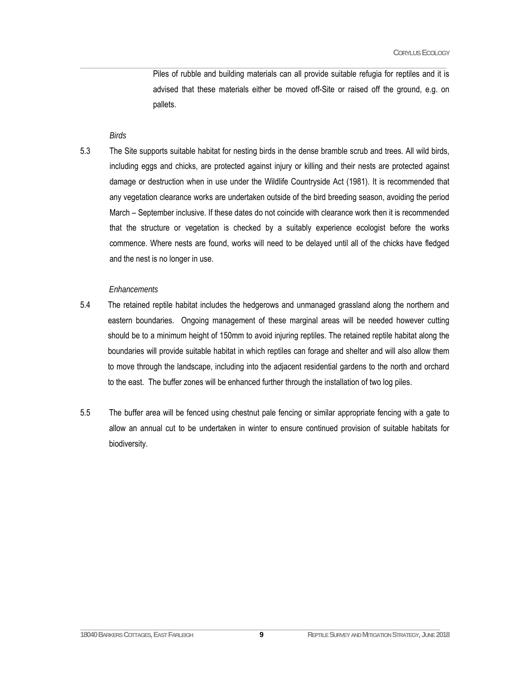Piles of rubble and building materials can all provide suitable refugia for reptiles and it is advised that these materials either be moved off-Site or raised off the ground, e.g. on pallets.

#### *Birds*

5.3 The Site supports suitable habitat for nesting birds in the dense bramble scrub and trees. All wild birds, including eggs and chicks, are protected against injury or killing and their nests are protected against damage or destruction when in use under the Wildlife Countryside Act (1981). It is recommended that any vegetation clearance works are undertaken outside of the bird breeding season, avoiding the period March – September inclusive. If these dates do not coincide with clearance work then it is recommended that the structure or vegetation is checked by a suitably experience ecologist before the works commence. Where nests are found, works will need to be delayed until all of the chicks have fledged and the nest is no longer in use.

 $\mathcal{L}_\mathcal{L} = \{ \mathcal{L}_\mathcal{L} = \{ \mathcal{L}_\mathcal{L} = \{ \mathcal{L}_\mathcal{L} = \{ \mathcal{L}_\mathcal{L} = \{ \mathcal{L}_\mathcal{L} = \{ \mathcal{L}_\mathcal{L} = \{ \mathcal{L}_\mathcal{L} = \{ \mathcal{L}_\mathcal{L} = \{ \mathcal{L}_\mathcal{L} = \{ \mathcal{L}_\mathcal{L} = \{ \mathcal{L}_\mathcal{L} = \{ \mathcal{L}_\mathcal{L} = \{ \mathcal{L}_\mathcal{L} = \{ \mathcal{L}_\mathcal{$ 

#### *Enhancements*

- 5.4 The retained reptile habitat includes the hedgerows and unmanaged grassland along the northern and eastern boundaries. Ongoing management of these marginal areas will be needed however cutting should be to a minimum height of 150mm to avoid injuring reptiles. The retained reptile habitat along the boundaries will provide suitable habitat in which reptiles can forage and shelter and will also allow them to move through the landscape, including into the adjacent residential gardens to the north and orchard to the east. The buffer zones will be enhanced further through the installation of two log piles.
- 5.5 The buffer area will be fenced using chestnut pale fencing or similar appropriate fencing with a gate to allow an annual cut to be undertaken in winter to ensure continued provision of suitable habitats for biodiversity.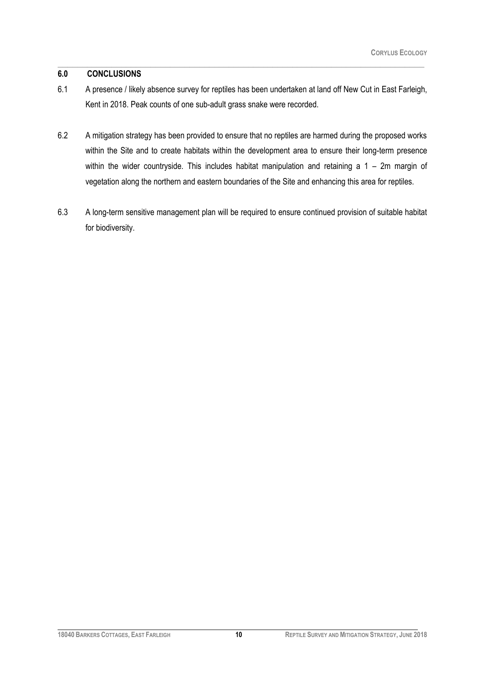#### **6.0 CONCLUSIONS**

6.1 A presence / likely absence survey for reptiles has been undertaken at land off New Cut in East Farleigh, Kent in 2018. Peak counts of one sub-adult grass snake were recorded.

\_\_\_\_\_\_\_\_\_\_\_\_\_\_\_\_\_\_\_\_\_\_\_\_\_\_\_\_\_\_\_\_\_\_\_\_\_\_\_\_\_\_\_\_\_\_\_\_\_\_\_\_\_\_\_\_\_\_\_\_\_\_\_\_\_\_\_\_\_\_\_\_\_\_\_

- 6.2 A mitigation strategy has been provided to ensure that no reptiles are harmed during the proposed works within the Site and to create habitats within the development area to ensure their long-term presence within the wider countryside. This includes habitat manipulation and retaining a 1 – 2m margin of vegetation along the northern and eastern boundaries of the Site and enhancing this area for reptiles.
- 6.3 A long-term sensitive management plan will be required to ensure continued provision of suitable habitat for biodiversity.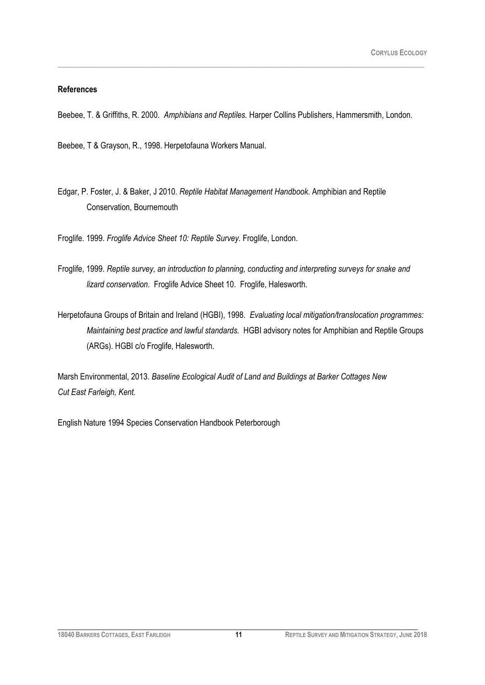#### **References**

Beebee, T. & Griffiths, R. 2000. *Amphibians and Reptiles.* Harper Collins Publishers, Hammersmith, London.

\_\_\_\_\_\_\_\_\_\_\_\_\_\_\_\_\_\_\_\_\_\_\_\_\_\_\_\_\_\_\_\_\_\_\_\_\_\_\_\_\_\_\_\_\_\_\_\_\_\_\_\_\_\_\_\_\_\_\_\_\_\_\_\_\_\_\_\_\_\_\_\_\_\_\_

Beebee, T & Grayson, R., 1998. Herpetofauna Workers Manual.

Edgar, P. Foster, J. & Baker, J 2010. *Reptile Habitat Management Handbook*. Amphibian and Reptile Conservation, Bournemouth

Froglife. 1999. *Froglife Advice Sheet 10: Reptile Survey.* Froglife, London.

- Froglife, 1999. *Reptile survey, an introduction to planning, conducting and interpreting surveys for snake and lizard conservation*. Froglife Advice Sheet 10. Froglife, Halesworth.
- Herpetofauna Groups of Britain and Ireland (HGBI), 1998. *Evaluating local mitigation/translocation programmes: Maintaining best practice and lawful standards.* HGBI advisory notes for Amphibian and Reptile Groups (ARGs). HGBI c/o Froglife, Halesworth.

Marsh Environmental, 2013. *Baseline Ecological Audit of Land and Buildings at Barker Cottages New Cut East Farleigh, Kent.* 

English Nature 1994 Species Conservation Handbook Peterborough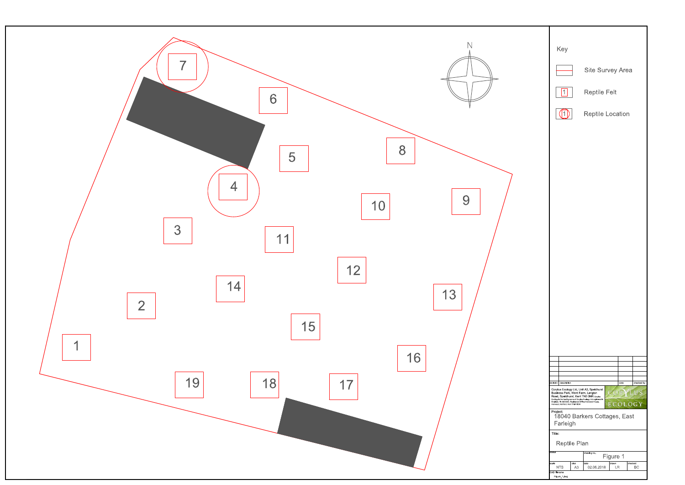

| Key                                                  |                                                                                                                                                                                                           |                         |            |  |  |  |  |
|------------------------------------------------------|-----------------------------------------------------------------------------------------------------------------------------------------------------------------------------------------------------------|-------------------------|------------|--|--|--|--|
|                                                      |                                                                                                                                                                                                           | Site Survey Area        |            |  |  |  |  |
| 1                                                    | <b>Reptile Felt</b>                                                                                                                                                                                       |                         |            |  |  |  |  |
| (11)                                                 |                                                                                                                                                                                                           | <b>Reptile Location</b> |            |  |  |  |  |
|                                                      |                                                                                                                                                                                                           |                         |            |  |  |  |  |
|                                                      |                                                                                                                                                                                                           |                         |            |  |  |  |  |
|                                                      |                                                                                                                                                                                                           |                         |            |  |  |  |  |
|                                                      |                                                                                                                                                                                                           |                         |            |  |  |  |  |
|                                                      |                                                                                                                                                                                                           |                         |            |  |  |  |  |
|                                                      |                                                                                                                                                                                                           |                         |            |  |  |  |  |
|                                                      |                                                                                                                                                                                                           |                         |            |  |  |  |  |
|                                                      |                                                                                                                                                                                                           |                         |            |  |  |  |  |
|                                                      |                                                                                                                                                                                                           |                         |            |  |  |  |  |
|                                                      |                                                                                                                                                                                                           |                         |            |  |  |  |  |
|                                                      |                                                                                                                                                                                                           |                         |            |  |  |  |  |
|                                                      |                                                                                                                                                                                                           |                         |            |  |  |  |  |
|                                                      |                                                                                                                                                                                                           |                         |            |  |  |  |  |
|                                                      |                                                                                                                                                                                                           |                         |            |  |  |  |  |
| revision<br>description                              | Corylus Ecology Ltd, Unit A3, Speldhurst                                                                                                                                                                  | date                    | checked by |  |  |  |  |
| Henwood, Ashford, Kent TN24 8DH                      | Business Park, Went Farm, Langton<br>Road, Speldhurst, Kent TN3 0NR Corylus<br>Ecology is the trading name of Corylus Ecology Ltd registered in<br>England, No 5005553, Registered Office: Henwood House, |                         | G Y        |  |  |  |  |
| Project:<br>18040 Barkers Cottages, East<br>Farleigh |                                                                                                                                                                                                           |                         |            |  |  |  |  |
|                                                      |                                                                                                                                                                                                           |                         |            |  |  |  |  |
| Title:                                               | Reptile Plan                                                                                                                                                                                              |                         |            |  |  |  |  |
| status<br>drawing no.<br>Figure 1                    |                                                                                                                                                                                                           |                         |            |  |  |  |  |
| drawn<br>checked<br>scale<br>size<br>date            |                                                                                                                                                                                                           |                         |            |  |  |  |  |
| <b>NTS</b><br>CAD filename<br>Figure 1 dwg           | A <sub>3</sub><br>02.06.2018                                                                                                                                                                              | LR                      | ВC         |  |  |  |  |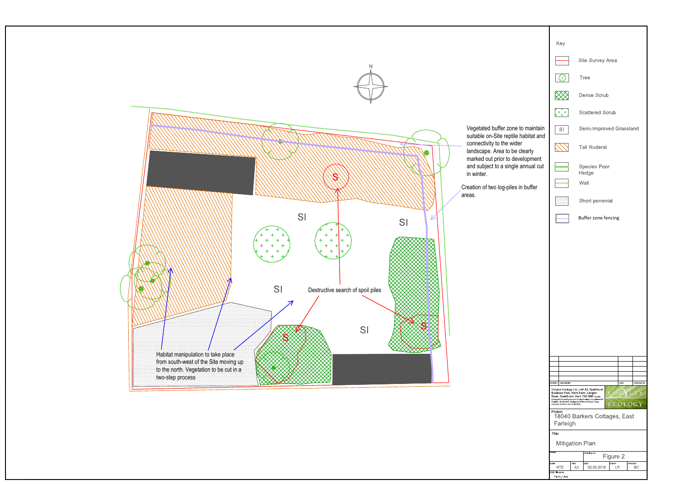

| Key                                                                        |                                                                                                                                                                                                                                    |  |  |  |
|----------------------------------------------------------------------------|------------------------------------------------------------------------------------------------------------------------------------------------------------------------------------------------------------------------------------|--|--|--|
|                                                                            | Site Survey Area                                                                                                                                                                                                                   |  |  |  |
| $\odot$                                                                    | <b>Tree</b>                                                                                                                                                                                                                        |  |  |  |
|                                                                            | Dense Scrub                                                                                                                                                                                                                        |  |  |  |
| $\left[\begin{smallmatrix} + & + & + \ + & + & + \end{smallmatrix}\right]$ | <b>Scattered Scrub</b>                                                                                                                                                                                                             |  |  |  |
| SI                                                                         | Semi-Improved Grassland                                                                                                                                                                                                            |  |  |  |
|                                                                            | <b>Tall Ruderal</b>                                                                                                                                                                                                                |  |  |  |
|                                                                            | Species Poor<br>Hedge                                                                                                                                                                                                              |  |  |  |
|                                                                            | Wall                                                                                                                                                                                                                               |  |  |  |
|                                                                            | Short perrenial                                                                                                                                                                                                                    |  |  |  |
|                                                                            | Buffer zone fencing                                                                                                                                                                                                                |  |  |  |
|                                                                            |                                                                                                                                                                                                                                    |  |  |  |
|                                                                            |                                                                                                                                                                                                                                    |  |  |  |
|                                                                            |                                                                                                                                                                                                                                    |  |  |  |
|                                                                            |                                                                                                                                                                                                                                    |  |  |  |
|                                                                            |                                                                                                                                                                                                                                    |  |  |  |
|                                                                            |                                                                                                                                                                                                                                    |  |  |  |
|                                                                            |                                                                                                                                                                                                                                    |  |  |  |
|                                                                            |                                                                                                                                                                                                                                    |  |  |  |
| revision<br>description                                                    | checked by<br>date                                                                                                                                                                                                                 |  |  |  |
| Business Park, Went Farm, Langton<br>Henwood, Ashford, Kent TN24 8DH       | Corylus Ecology Ltd, Unit A3, Speldhurst<br>U S<br>Road, Speldhurst, Kent TN3 0NR Corylus<br>Ecology is the trading name of Corylus Ecology Ltd registered in<br>England, No 5005553, Registered Office: Henwood House,<br>ECOLOGY |  |  |  |
| Project:                                                                   | 18040 Barkers Cottages, East                                                                                                                                                                                                       |  |  |  |
| Farleigh<br>Title:                                                         |                                                                                                                                                                                                                                    |  |  |  |
| <b>Mitigation Plan</b>                                                     |                                                                                                                                                                                                                                    |  |  |  |
| status<br>drawing no.<br>Figure 2                                          |                                                                                                                                                                                                                                    |  |  |  |
| scale<br>size<br><b>NTS</b><br>CAD filename                                | checked<br>date<br>drawn<br>02.06.2018<br>АЗ<br>LR<br>ВC                                                                                                                                                                           |  |  |  |

- 
-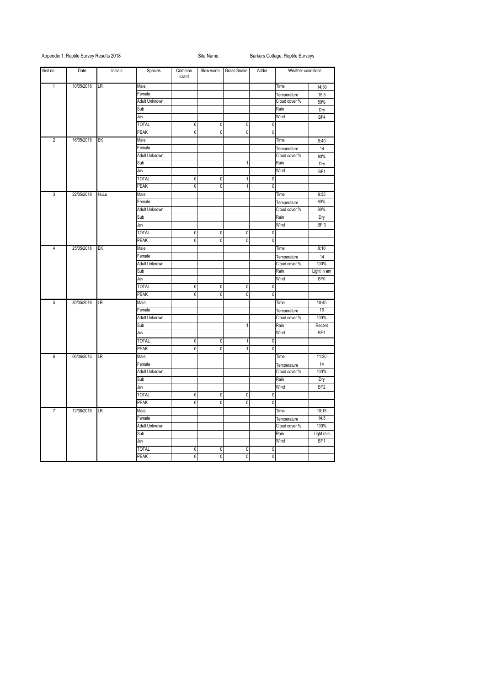# Appendix 1: Reptile Survey Results 2018 Site Name: Site Name: Barkers Cottage, Reptile Surveys

| Visit no       | Date       | Initials | Species              | Common<br>lizard | Slow worm      | Grass Snake      | Adder    | Weather conditions |                   |
|----------------|------------|----------|----------------------|------------------|----------------|------------------|----------|--------------------|-------------------|
| $\mathbf{1}$   | 10/05/2018 | LR       | Male                 |                  |                |                  |          | Time               | 14:30             |
|                |            |          | Female               |                  |                |                  |          | Temperature        | 15.5              |
|                |            |          | Adult Unknown        |                  |                |                  |          | Cloud cover %      | 50%               |
|                |            |          | Sub                  |                  |                |                  |          | Rain               | Dry               |
|                |            |          | Juv                  |                  |                |                  |          | Wind               | BF4               |
|                |            |          | <b>TOTAL</b>         | 0                | $\overline{0}$ | $\mathbf{0}$     |          | $\overline{0}$     |                   |
|                |            |          | <b>PEAK</b>          | 0                | $\mathbf{0}$   | $\Omega$         |          | $\Omega$           |                   |
| $\overline{2}$ | 16/05/2018 | EK       | Male                 |                  |                |                  |          | Time               | 9:40              |
|                |            |          | Female               |                  |                |                  |          | Temperature        | 14                |
|                |            |          | Adult Unknown        |                  |                |                  |          | Cloud cover %      | 80%               |
|                |            |          | Sub                  |                  |                |                  |          | Rain               | Dry               |
|                |            |          | Juv                  |                  |                |                  |          | Wind               | BF1               |
|                |            |          | <b>TOTAL</b>         | 0                | $\pmb{0}$      |                  |          | 0                  |                   |
|                |            |          | <b>PEAK</b>          | 0                | $\mathbf{0}$   |                  |          | $\Omega$           |                   |
| $\overline{3}$ | 22/05/2018 | HuLu     | Male                 |                  |                |                  |          | Time               | 9:35              |
|                |            |          | Female               |                  |                |                  |          | Temperature        | 80%               |
|                |            |          | Adult Unknown        |                  |                |                  |          | Cloud cover %      | 80%               |
|                |            |          | Sub                  |                  |                |                  |          | Rain               | Dry               |
|                |            |          | Juv                  |                  |                |                  |          | Wind               | BF <sub>3</sub>   |
|                |            |          | <b>TOTAL</b>         | $\pmb{0}$        | $\pmb{0}$      | 0                |          | $\overline{0}$     |                   |
|                |            |          | <b>PEAK</b>          | 0                | $\Omega$       | $\Omega$         | $\Omega$ |                    |                   |
| 4              | 25/05/2018 | EK       | Male                 |                  |                |                  |          | Time               | 9:10              |
|                |            |          | Female               |                  |                |                  |          | Temperature        | 14                |
|                |            |          | <b>Adult Unknown</b> |                  |                |                  |          | Cloud cover %      | 100%              |
|                |            |          | Sub                  |                  |                |                  |          | Rain               | Light in am       |
|                |            |          | Juv                  |                  |                |                  |          | Wind               | BF <sub>0</sub>   |
|                |            |          | <b>TOTAL</b>         | 0                | $\pmb{0}$      | 0                |          | $\overline{0}$     |                   |
|                |            |          | <b>PEAK</b>          | 0                | 0              | $\mathbf{0}$     |          | $\overline{0}$     |                   |
| 5 <sub>5</sub> | 30/05/2018 | LR       | Male                 |                  |                |                  |          | Time               | 10:45             |
|                |            |          | Female               |                  |                |                  |          | Temperature        | 16                |
|                |            |          | Adult Unknown        |                  |                |                  |          | Cloud cover %      | 100%              |
|                |            |          |                      | Sub              |                |                  |          |                    | Rain              |
|                |            |          | Juv                  |                  |                |                  |          | Wind               | BF1               |
|                |            |          | <b>TOTAL</b>         | $\pmb{0}$        | $\overline{0}$ |                  |          | $\overline{0}$     |                   |
|                |            |          | <b>PEAK</b>          | 0                | $\pmb{0}$      |                  |          | $\mathbf{0}$       |                   |
| 6              | 06/06/2016 | LR       | Male                 |                  |                |                  |          | Time               | 11:20             |
|                |            |          | Female               |                  |                |                  |          | Temperature        | 14                |
|                |            |          | <b>Adult Unknown</b> |                  |                |                  |          | Cloud cover %      | 100%              |
|                |            |          | Sub                  |                  |                |                  |          | Rain               | Dry               |
|                |            |          | Juv                  |                  |                |                  |          | Wind               | BF <sub>2</sub>   |
|                |            |          | <b>TOTAL</b>         | $\pmb{0}$        | $\pmb{0}$      | $\pmb{0}$        |          | $\overline{0}$     |                   |
|                |            |          | <b>PEAK</b>          | 0                | $\pmb{0}$      | $\mathbf{0}$     |          | $\Omega$           |                   |
| $\overline{7}$ | 12/06/2018 | LR       | Male                 |                  |                |                  |          | Time               | 10:15             |
|                |            |          | Female               |                  |                |                  |          | Temperature        | $\overline{14.5}$ |
|                |            |          | <b>Adult Unknown</b> |                  |                |                  |          | Cloud cover %      | 100%              |
|                |            |          | Sub                  |                  |                |                  |          | Rain               | Light rain        |
|                |            |          | Juv                  |                  |                |                  |          | Wind               | BF1               |
|                |            |          | <b>TOTAL</b>         | $\boldsymbol{0}$ | $\pmb{0}$      | $\boldsymbol{0}$ |          | $\overline{0}$     |                   |
|                |            |          | <b>PEAK</b>          | $\overline{0}$   | $\overline{0}$ | $\overline{0}$   |          | $\overline{0}$     |                   |